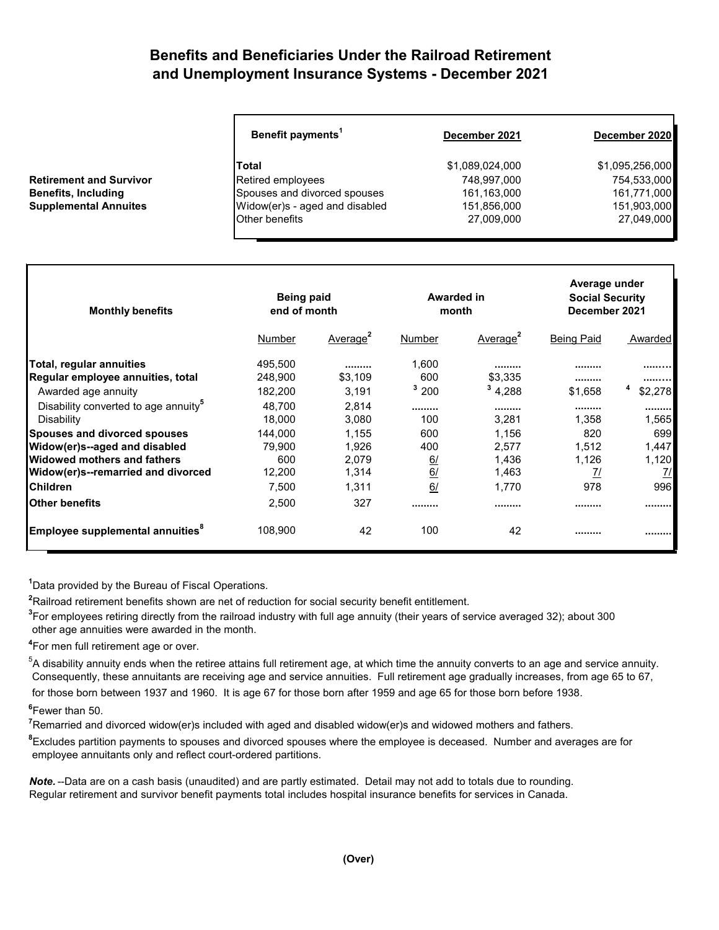## **Benefits and Beneficiaries Under the Railroad Retirement and Unemployment Insurance Systems - December 2021**

|                                | Benefit payments <sup>1</sup>  | December 2021   | December 2020   |  |
|--------------------------------|--------------------------------|-----------------|-----------------|--|
|                                | Total                          | \$1,089,024,000 | \$1,095,256,000 |  |
| <b>Retirement and Survivor</b> | Retired employees              | 748,997,000     | 754,533,000     |  |
| <b>Benefits, Including</b>     | Spouses and divorced spouses   | 161,163,000     | 161,771,000     |  |
| <b>Supplemental Annuites</b>   | Widow(er)s - aged and disabled | 151,856,000     | 151,903,000     |  |
|                                | <b>Other benefits</b>          | 27,009,000      | 27,049,000      |  |
|                                |                                |                 |                 |  |

| <b>Monthly benefits</b>                          | <b>Being paid</b><br>end of month |                      | Awarded in<br>month |                      | Average under<br><b>Social Security</b><br>December 2021 |               |
|--------------------------------------------------|-----------------------------------|----------------------|---------------------|----------------------|----------------------------------------------------------|---------------|
|                                                  | Number                            | Average <sup>2</sup> | Number              | Average <sup>2</sup> | <b>Being Paid</b>                                        | Awarded       |
| Total, regular annuities                         | 495,500                           |                      | 1,600               |                      |                                                          |               |
| Regular employee annuities, total                | 248,900                           | \$3,109              | 600                 | \$3,335              |                                                          |               |
| Awarded age annuity                              | 182,200                           | 3,191                | $3\,200$            | 34,288               | \$1,658                                                  | \$2,278       |
| Disability converted to age annuity <sup>5</sup> | 48,700                            | 2,814                |                     |                      |                                                          |               |
| Disability                                       | 18,000                            | 3,080                | 100                 | 3,281                | 1,358                                                    | 1,565         |
| <b>Spouses and divorced spouses</b>              | 144,000                           | 1,155                | 600                 | 1,156                | 820                                                      | 699           |
| Widow(er)s--aged and disabled                    | 79.900                            | 1,926                | 400                 | 2.577                | 1,512                                                    | 1,447         |
| Widowed mothers and fathers                      | 600                               | 2,079                | 6/                  | 1,436                | 1,126                                                    | 1,120         |
| Widow(er)s--remarried and divorced               | 12,200                            | 1,314                | 6/                  | 1,463                | <u>71</u>                                                | $\frac{7}{2}$ |
| <b>Children</b>                                  | 7,500                             | 1,311                | 6/                  | 1,770                | 978                                                      | 996           |
| lOther benefits                                  | 2,500                             | 327                  |                     |                      |                                                          |               |
| Employee supplemental annuities <sup>8</sup>     | 108,900                           | 42                   | 100                 | 42                   |                                                          |               |

**1** Data provided by the Bureau of Fiscal Operations.

**2** Railroad retirement benefits shown are net of reduction for social security benefit entitlement.

**3** For employees retiring directly from the railroad industry with full age annuity (their years of service averaged 32); about 300 other age annuities were awarded in the month.

**4** For men full retirement age or over.

 $^5$ A disability annuity ends when the retiree attains full retirement age, at which time the annuity converts to an age and service annuity. Consequently, these annuitants are receiving age and service annuities. Full retirement age gradually increases, from age 65 to 67, for those born between 1937 and 1960. It is age 67 for those born after 1959 and age 65 for those born before 1938.

**6** Fewer than 50.

**7** Remarried and divorced widow(er)s included with aged and disabled widow(er)s and widowed mothers and fathers.

**8** Excludes partition payments to spouses and divorced spouses where the employee is deceased. Number and averages are for employee annuitants only and reflect court-ordered partitions.

*Note.* --Data are on a cash basis (unaudited) and are partly estimated. Detail may not add to totals due to rounding. Regular retirement and survivor benefit payments total includes hospital insurance benefits for services in Canada.